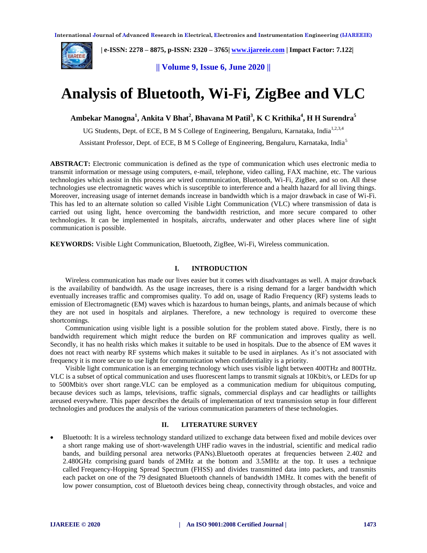

 **| e-ISSN: 2278 – 8875, p-ISSN: 2320 – 3765| [www.ijareeie.com](http://www.ijareeie.com/) | Impact Factor: 7.122|** 

**|| Volume 9, Issue 6, June 2020 ||** 

# **Analysis of Bluetooth, Wi-Fi, ZigBee and VLC**

**Ambekar Manogna<sup>1</sup> , Ankita V Bhat<sup>2</sup> , Bhavana M Patil<sup>3</sup> , K C Krithika<sup>4</sup> , H H Surendra<sup>5</sup>**

UG Students, Dept. of ECE, B M S College of Engineering, Bengaluru, Karnataka. India<sup>1,2,3,4</sup>

Assistant Professor, Dept. of ECE, B M S College of Engineering, Bengaluru, Karnataka, India<sup>5</sup>

**ABSTRACT:** Electronic communication is defined as the type of communication which uses electronic media to transmit information or message using computers, e-mail, telephone, video calling, FAX machine, etc. The various technologies which assist in this process are wired communication, Bluetooth, Wi-Fi, ZigBee, and so on. All these technologies use electromagnetic waves which is susceptible to interference and a health hazard for all living things. Moreover, increasing usage of internet demands increase in bandwidth which is a major drawback in case of Wi-Fi. This has led to an alternate solution so called Visible Light Communication (VLC) where transmission of data is carried out using light, hence overcoming the bandwidth restriction, and more secure compared to other technologies. It can be implemented in hospitals, aircrafts, underwater and other places where line of sight communication is possible.

**KEYWORDS:** Visible Light Communication, Bluetooth, ZigBee, Wi-Fi, Wireless communication.

#### **I. INTRODUCTION**

Wireless communication has made our lives easier but it comes with disadvantages as well. A major drawback is the availability of bandwidth. As the usage increases, there is a rising demand for a larger bandwidth which eventually increases traffic and compromises quality. To add on, usage of Radio Frequency (RF) systems leads to emission of Electromagnetic (EM) waves which is hazardous to human beings, plants, and animals because of which they are not used in hospitals and airplanes. Therefore, a new technology is required to overcome these shortcomings.

Communication using visible light is a possible solution for the problem stated above. Firstly, there is no bandwidth requirement which might reduce the burden on RF communication and improves quality as well. Secondly, it has no health risks which makes it suitable to be used in hospitals. Due to the absence of EM waves it does not react with nearby RF systems which makes it suitable to be used in airplanes. As it's not associated with frequency it is more secure to use light for communication when confidentiality is a priority.

Visible light communication is an emerging technology which uses visible light between 400THz and 800THz. VLC is a subset of optical communication and uses fluorescent lamps to transmit signals at 10Kbit/s, or LEDs for up to 500Mbit/s over short range.VLC can be employed as a communication medium for ubiquitous computing, because devices such as lamps, televisions, traffic signals, commercial displays and car headlights or taillights areused everywhere. This paper describes the details of implementation of text transmission setup in four different technologies and produces the analysis of the various communication parameters of these technologies.

#### **II. LITERATURE SURVEY**

 Bluetooth: It is a wireless technology standard utilized to exchange data between fixed and mobile devices over a short range making use of short-wavelength UHF radio waves in the industrial, scientific and medical radio bands, and building personal area networks (PANs).Bluetooth operates at frequencies between 2.402 and 2.480GHz comprising guard bands of 2MHz at the bottom and 3.5MHz at the top. It uses a technique called Frequency-Hopping Spread Spectrum (FHSS) and divides transmitted data into packets, and transmits each packet on one of the 79 designated Bluetooth channels of bandwidth 1MHz. It comes with the benefit of low power consumption, cost of Bluetooth devices being cheap, connectivity through obstacles, and voice and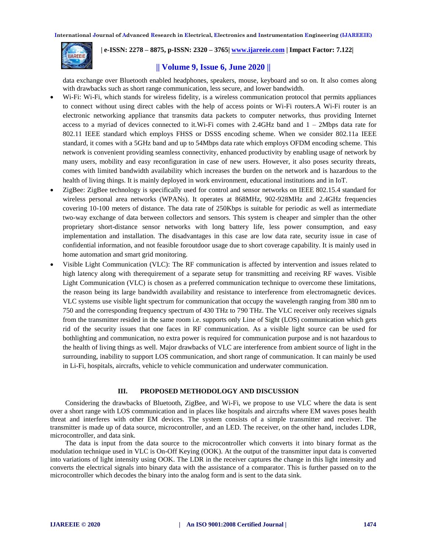

 **| e-ISSN: 2278 – 8875, p-ISSN: 2320 – 3765| [www.ijareeie.com](http://www.ijareeie.com/) | Impact Factor: 7.122|** 

## **|| Volume 9, Issue 6, June 2020 ||**

data exchange over Bluetooth enabled headphones, speakers, mouse, keyboard and so on. It also comes along with drawbacks such as short range communication, less secure, and lower bandwidth.

- Wi-Fi: Wi-Fi, which stands for wireless fidelity, is a wireless communication protocol that permits appliances to connect without using direct cables with the help of access points or Wi-Fi routers.A Wi-Fi router is an electronic networking appliance that transmits data packets to computer networks, thus providing Internet access to a myriad of devices connected to it. Wi-Fi comes with 2.4GHz band and  $1 - 2Mbps$  data rate for 802.11 IEEE standard which employs FHSS or DSSS encoding scheme. When we consider 802.11a IEEE standard, it comes with a 5GHz band and up to 54Mbps data rate which employs OFDM encoding scheme. This network is convenient providing seamless connectivity, enhanced productivity by enabling usage of network by many users, mobility and easy reconfiguration in case of new users. However, it also poses security threats, comes with limited bandwidth availability which increases the burden on the network and is hazardous to the health of living things. It is mainly deployed in work environment, educational institutions and in IoT.
- ZigBee: ZigBee technology is specifically used for control and sensor networks on IEEE 802.15.4 standard for wireless personal area networks (WPANs). It operates at 868MHz, 902-928MHz and 2.4GHz frequencies covering 10-100 meters of distance. The data rate of 250Kbps is suitable for periodic as well as intermediate two-way exchange of data between collectors and sensors. This system is cheaper and simpler than the other proprietary short-distance sensor networks with long battery life, less power consumption, and easy implementation and installation. The disadvantages in this case are low data rate, security issue in case of confidential information, and not feasible foroutdoor usage due to short coverage capability. It is mainly used in home automation and smart grid monitoring.
- Visible Light Communication (VLC): The RF communication is affected by intervention and issues related to high latency along with therequirement of a separate setup for transmitting and receiving RF waves. Visible Light Communication (VLC) is chosen as a preferred communication technique to overcome these limitations, the reason being its large bandwidth availability and resistance to interference from electromagnetic devices. VLC systems use visible light spectrum for communication that occupy the wavelength ranging from 380 nm to 750 and the corresponding frequency spectrum of 430 THz to 790 THz. The VLC receiver only receives signals from the transmitter resided in the same room i.e. supports only Line of Sight (LOS) communication which gets rid of the security issues that one faces in RF communication. As a visible light source can be used for bothlighting and communication, no extra power is required for communication purpose and is not hazardous to the health of living things as well. Major drawbacks of VLC are interference from ambient source of light in the surrounding, inability to support LOS communication, and short range of communication. It can mainly be used in Li-Fi, hospitals, aircrafts, vehicle to vehicle communication and underwater communication.

#### **III. PROPOSED METHODOLOGY AND DISCUSSION**

Considering the drawbacks of Bluetooth, ZigBee, and Wi-Fi, we propose to use VLC where the data is sent over a short range with LOS communication and in places like hospitals and aircrafts where EM waves poses health threat and interferes with other EM devices. The system consists of a simple transmitter and receiver. The transmitter is made up of data source, microcontroller, and an LED. The receiver, on the other hand, includes LDR, microcontroller, and data sink.

The data is input from the data source to the microcontroller which converts it into binary format as the modulation technique used in VLC is On-Off Keying (OOK). At the output of the transmitter input data is converted into variations of light intensity using OOK. The LDR in the receiver captures the change in this light intensity and converts the electrical signals into binary data with the assistance of a comparator. This is further passed on to the microcontroller which decodes the binary into the analog form and is sent to the data sink.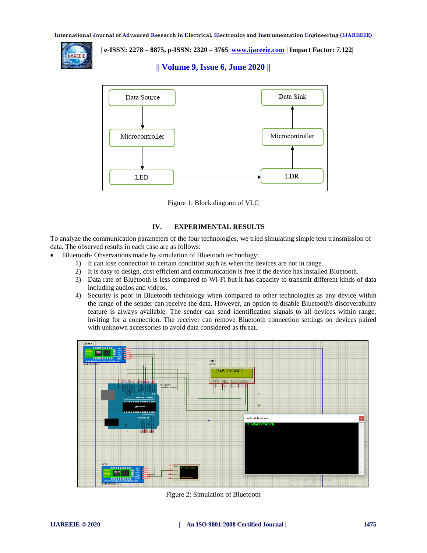

 **| e-ISSN: 2278 – 8875, p-ISSN: 2320 – 3765| [www.ijareeie.com](http://www.ijareeie.com/) | Impact Factor: 7.122|** 

**|| Volume 9, Issue 6, June 2020 ||** 



Figure 1: Block diagram of VLC

### **IV. EXPERIMENTAL RESULTS**

To analyze the communication parameters of the four technologies, we tried simulating simple text transmission of data. The observed results in each case are as follows:

- Bluetooth- Observations made by simulation of Bluetooth technology:
	- 1) It can lose connection in certain condition such as when the devices are not in range.
	- 2) It is easy to design, cost efficient and communication is free if the device has installed Bluetooth.
	- 3) Data rate of Bluetooth is less compared to Wi-Fi but it has capacity to transmit different kinds of data including audios and videos.
	- 4) Security is poor in Bluetooth technology when compared to other technologies as any device within the range of the sender can receive the data. However, an option to disable Bluetooth's discoverability feature is always available. The sender can send identification signals to all devices within range, inviting for a connection. The receiver can remove Bluetooth connection settings on devices paired with unknown accessories to avoid data considered as threat.



Figure 2: Simulation of Bluetooth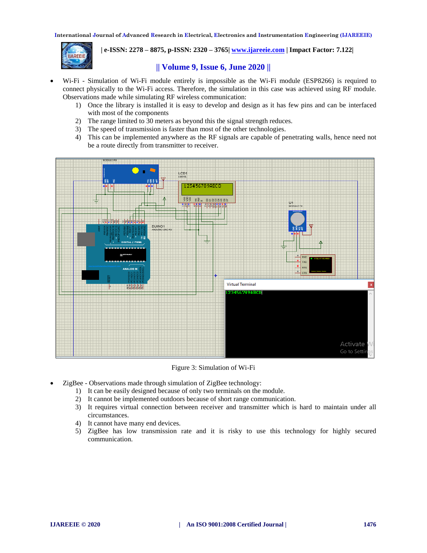

 **| e-ISSN: 2278 – 8875, p-ISSN: 2320 – 3765| [www.ijareeie.com](http://www.ijareeie.com/) | Impact Factor: 7.122|** 

## **|| Volume 9, Issue 6, June 2020 ||**

- Wi-Fi Simulation of Wi-Fi module entirely is impossible as the Wi-Fi module (ESP8266) is required to connect physically to the Wi-Fi access. Therefore, the simulation in this case was achieved using RF module. Observations made while simulating RF wireless communication:
	- 1) Once the library is installed it is easy to develop and design as it has few pins and can be interfaced with most of the components
	- 2) The range limited to 30 meters as beyond this the signal strength reduces.
	- 3) The speed of transmission is faster than most of the other technologies.
	- 4) This can be implemented anywhere as the RF signals are capable of penetrating walls, hence need not be a route directly from transmitter to receiver.



Figure 3: Simulation of Wi-Fi

- ZigBee Observations made through simulation of ZigBee technology:
	- 1) It can be easily designed because of only two terminals on the module.
	- 2) It cannot be implemented outdoors because of short range communication.
	- 3) It requires virtual connection between receiver and transmitter which is hard to maintain under all circumstances.
	- 4) It cannot have many end devices.
	- 5) ZigBee has low transmission rate and it is risky to use this technology for highly secured communication.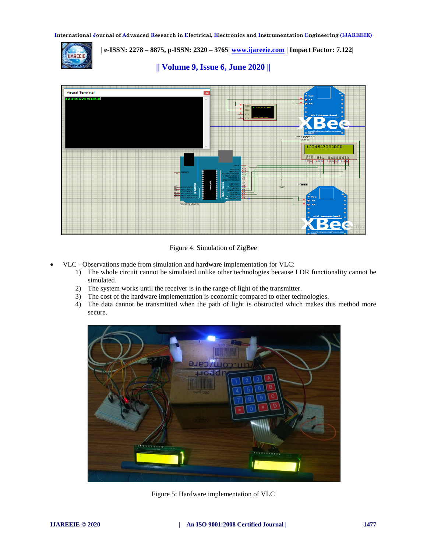

 **| e-ISSN: 2278 – 8875, p-ISSN: 2320 – 3765| [www.ijareeie.com](http://www.ijareeie.com/) | Impact Factor: 7.122|** 

**|| Volume 9, Issue 6, June 2020 ||** 



Figure 4: Simulation of ZigBee

- VLC Observations made from simulation and hardware implementation for VLC:
	- 1) The whole circuit cannot be simulated unlike other technologies because LDR functionality cannot be simulated.
	- 2) The system works until the receiver is in the range of light of the transmitter.
	- 3) The cost of the hardware implementation is economic compared to other technologies.
	- 4) The data cannot be transmitted when the path of light is obstructed which makes this method more secure.



Figure 5: Hardware implementation of VLC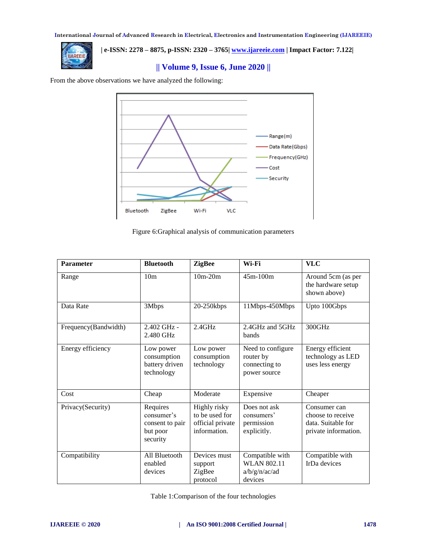

 **| e-ISSN: 2278 – 8875, p-ISSN: 2320 – 3765| [www.ijareeie.com](http://www.ijareeie.com/) | Impact Factor: 7.122|** 

**|| Volume 9, Issue 6, June 2020 ||** 

From the above observations we have analyzed the following:



Figure 6:Graphical analysis of communication parameters

| <b>Parameter</b>     | <b>Bluetooth</b>                                                  | <b>ZigBee</b>                                                      | Wi-Fi                                                             | <b>VLC</b>                                                                      |
|----------------------|-------------------------------------------------------------------|--------------------------------------------------------------------|-------------------------------------------------------------------|---------------------------------------------------------------------------------|
| Range                | 10 <sub>m</sub>                                                   | $10m-20m$                                                          | 45m-100m                                                          | Around 5cm (as per<br>the hardware setup<br>shown above)                        |
| Data Rate            | 3Mbps                                                             | 20-250kbps                                                         | 11Mbps-450Mbps                                                    | Upto 100Gbps                                                                    |
| Frequency(Bandwidth) | 2.402 GHz -<br>2.480 GHz                                          | $2.4$ GHz                                                          | 2.4GHz and 5GHz<br>bands                                          | 300GHz                                                                          |
| Energy efficiency    | Low power<br>consumption<br>battery driven<br>technology          | Low power<br>consumption<br>technology                             | Need to configure<br>router by<br>connecting to<br>power source   | Energy efficient<br>technology as LED<br>uses less energy                       |
| Cost                 | Cheap                                                             | Moderate                                                           | Expensive                                                         | Cheaper                                                                         |
| Privacy(Security)    | Requires<br>consumer's<br>consent to pair<br>but poor<br>security | Highly risky<br>to be used for<br>official private<br>information. | Does not ask<br>consumers'<br>permission<br>explicitly.           | Consumer can<br>choose to receive<br>data. Suitable for<br>private information. |
| Compatibility        | All Bluetooth<br>enabled<br>devices                               | Devices must<br>support<br>ZigBee<br>protocol                      | Compatible with<br><b>WLAN 802.11</b><br>a/b/g/n/ac/ad<br>devices | Compatible with<br>IrDa devices                                                 |

Table 1:Comparison of the four technologies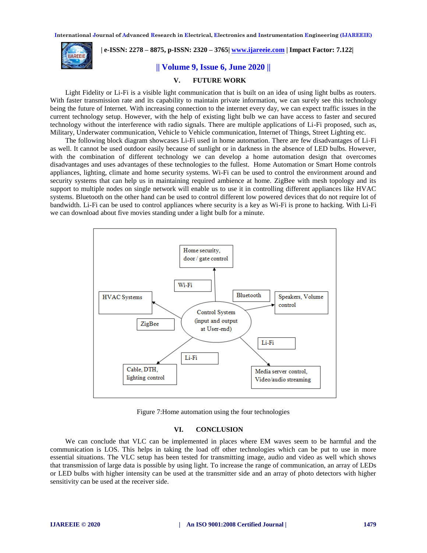

 **| e-ISSN: 2278 – 8875, p-ISSN: 2320 – 3765| [www.ijareeie.com](http://www.ijareeie.com/) | Impact Factor: 7.122|** 

**|| Volume 9, Issue 6, June 2020 ||** 

## **V. FUTURE WORK**

Light Fidelity or Li-Fi is a visible light communication that is built on an idea of using light bulbs as routers. With faster transmission rate and its capability to maintain private information, we can surely see this technology being the future of Internet. With increasing connection to the internet every day, we can expect traffic issues in the current technology setup. However, with the help of existing light bulb we can have access to faster and secured technology without the interference with radio signals. There are multiple applications of Li-Fi proposed, such as, Military, Underwater communication, Vehicle to Vehicle communication, Internet of Things, Street Lighting etc.

The following block diagram showcases Li-Fi used in home automation. There are few disadvantages of Li-Fi as well. It cannot be used outdoor easily because of sunlight or in darkness in the absence of LED bulbs. However, with the combination of different technology we can develop a home automation design that overcomes disadvantages and uses advantages of these technologies to the fullest. Home Automation or Smart Home controls appliances, lighting, climate and home security systems. Wi-Fi can be used to control the environment around and security systems that can help us in maintaining required ambience at home. ZigBee with mesh topology and its support to multiple nodes on single network will enable us to use it in controlling different appliances like HVAC systems. Bluetooth on the other hand can be used to control different low powered devices that do not require lot of bandwidth. Li-Fi can be used to control appliances where security is a key as Wi-Fi is prone to hacking. With Li-Fi we can download about five movies standing under a light bulb for a minute.



Figure 7:Home automation using the four technologies

#### **VI. CONCLUSION**

We can conclude that VLC can be implemented in places where EM waves seem to be harmful and the communication is LOS. This helps in taking the load off other technologies which can be put to use in more essential situations. The VLC setup has been tested for transmitting image, audio and video as well which shows that transmission of large data is possible by using light. To increase the range of communication, an array of LEDs or LED bulbs with higher intensity can be used at the transmitter side and an array of photo detectors with higher sensitivity can be used at the receiver side.